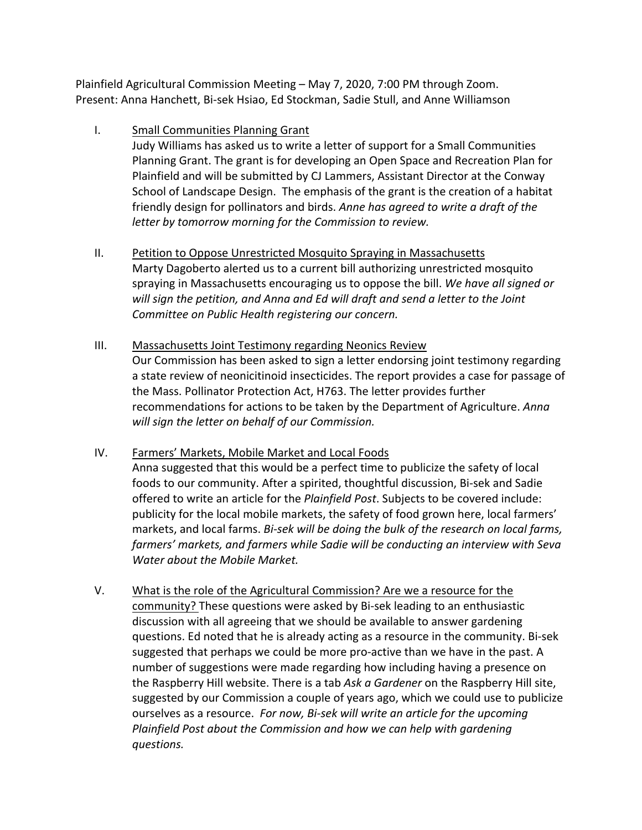Plainfield Agricultural Commission Meeting – May 7, 2020, 7:00 PM through Zoom. Present: Anna Hanchett, Bi-sek Hsiao, Ed Stockman, Sadie Stull, and Anne Williamson

#### I. Small Communities Planning Grant

Judy Williams has asked us to write a letter of support for a Small Communities Planning Grant. The grant is for developing an Open Space and Recreation Plan for Plainfield and will be submitted by CJ Lammers, Assistant Director at the Conway School of Landscape Design. The emphasis of the grant is the creation of a habitat friendly design for pollinators and birds. Anne has agreed to write a draft of the *letter by tomorrow morning for the Commission to review.* 

- II. Petition to Oppose Unrestricted Mosquito Spraying in Massachusetts Marty Dagoberto alerted us to a current bill authorizing unrestricted mosquito spraying in Massachusetts encouraging us to oppose the bill. We have all signed or will sign the petition, and Anna and Ed will draft and send a letter to the Joint Committee on Public Health registering our concern.
- III. Massachusetts Joint Testimony regarding Neonics Review Our Commission has been asked to sign a letter endorsing joint testimony regarding a state review of neonicitinoid insecticides. The report provides a case for passage of the Mass. Pollinator Protection Act, H763. The letter provides further recommendations for actions to be taken by the Department of Agriculture. *Anna* will sign the letter on behalf of our Commission.
- IV. Farmers' Markets, Mobile Market and Local Foods Anna suggested that this would be a perfect time to publicize the safety of local foods to our community. After a spirited, thoughtful discussion, Bi-sek and Sadie offered to write an article for the *Plainfield Post*. Subjects to be covered include: publicity for the local mobile markets, the safety of food grown here, local farmers' markets, and local farms. *Bi-sek will be doing the bulk of the research on local farms,* farmers' markets, and farmers while Sadie will be conducting an interview with Seva *Water about the Mobile Market.*
- V. What is the role of the Agricultural Commission? Are we a resource for the community? These questions were asked by Bi-sek leading to an enthusiastic discussion with all agreeing that we should be available to answer gardening questions. Ed noted that he is already acting as a resource in the community. Bi-sek suggested that perhaps we could be more pro-active than we have in the past. A number of suggestions were made regarding how including having a presence on the Raspberry Hill website. There is a tab Ask a Gardener on the Raspberry Hill site, suggested by our Commission a couple of years ago, which we could use to publicize ourselves as a resource. For now, Bi-sek will write an article for the upcoming *Plainfield Post about the Commission and how we can help with gardening questions.*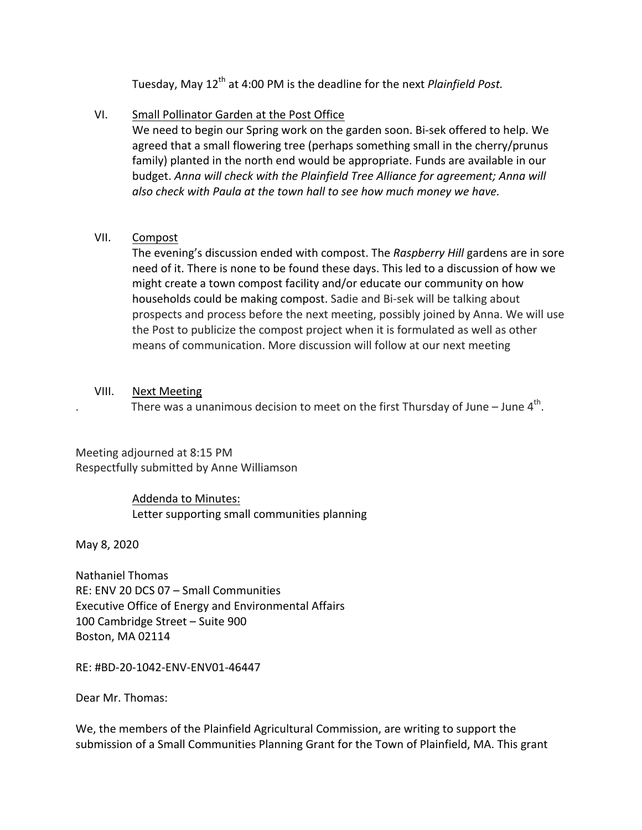Tuesday, May 12<sup>th</sup> at 4:00 PM is the deadline for the next *Plainfield Post.* 

## VI. Small Pollinator Garden at the Post Office

We need to begin our Spring work on the garden soon. Bi-sek offered to help. We agreed that a small flowering tree (perhaps something small in the cherry/prunus family) planted in the north end would be appropriate. Funds are available in our budget. Anna will check with the Plainfield Tree Alliance for agreement; Anna will also check with Paula at the town hall to see how much money we have.

## VII. Compost

The evening's discussion ended with compost. The *Raspberry Hill* gardens are in sore need of it. There is none to be found these days. This led to a discussion of how we might create a town compost facility and/or educate our community on how households could be making compost. Sadie and Bi-sek will be talking about prospects and process before the next meeting, possibly joined by Anna. We will use the Post to publicize the compost project when it is formulated as well as other means of communication. More discussion will follow at our next meeting

## VIII. Next Meeting

There was a unanimous decision to meet on the first Thursday of June – June  $4<sup>th</sup>$ .

Meeting adjourned at 8:15 PM Respectfully submitted by Anne Williamson

# Addenda to Minutes: Letter supporting small communities planning

May 8, 2020

Nathaniel Thomas RE: ENV 20 DCS 07 - Small Communities Executive Office of Energy and Environmental Affairs 100 Cambridge Street - Suite 900 Boston, MA 02114

RE: #BD-20-1042-ENV-ENV01-46447

Dear Mr. Thomas: 

We, the members of the Plainfield Agricultural Commission, are writing to support the submission of a Small Communities Planning Grant for the Town of Plainfield, MA. This grant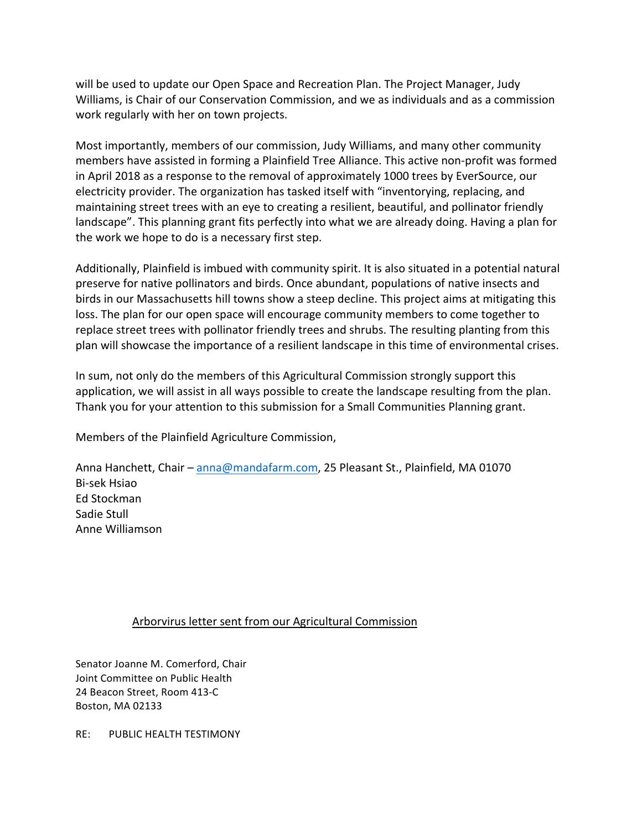will be used to update our Open Space and Recreation Plan. The Project Manager, Judy Williams, is Chair of our Conservation Commission, and we as individuals and as a commission work regularly with her on town projects.

Most importantly, members of our commission, Judy Williams, and many other community members have assisted in forming a Plainfield Tree Alliance. This active non-profit was formed in April 2018 as a response to the removal of approximately 1000 trees by EverSource, our electricity provider. The organization has tasked itself with "inventorying, replacing, and maintaining street trees with an eye to creating a resilient, beautiful, and pollinator friendly landscape". This planning grant fits perfectly into what we are already doing. Having a plan for the work we hope to do is a necessary first step.

Additionally, Plainfield is imbued with community spirit. It is also situated in a potential natural preserve for native pollinators and birds. Once abundant, populations of native insects and birds in our Massachusetts hill towns show a steep decline. This project aims at mitigating this loss. The plan for our open space will encourage community members to come together to replace street trees with pollinator friendly trees and shrubs. The resulting planting from this plan will showcase the importance of a resilient landscape in this time of environmental crises.

In sum, not only do the members of this Agricultural Commission strongly support this application, we will assist in all ways possible to create the landscape resulting from the plan. Thank you for your attention to this submission for a Small Communities Planning grant.

Members of the Plainfield Agriculture Commission,

Anna Hanchett, Chair – anna@mandafarm.com, 25 Pleasant St., Plainfield, MA 01070 Bi-sek Hsiao Ed Stockman Sadie Stull Anne Williamson

#### Arborvirus letter sent from our Agricultural Commission

Senator Joanne M. Comerford, Chair Joint Committee on Public Health 24 Beacon Street, Room 413-C Boston, MA 02133

RE: PUBLIC HEALTH TESTIMONY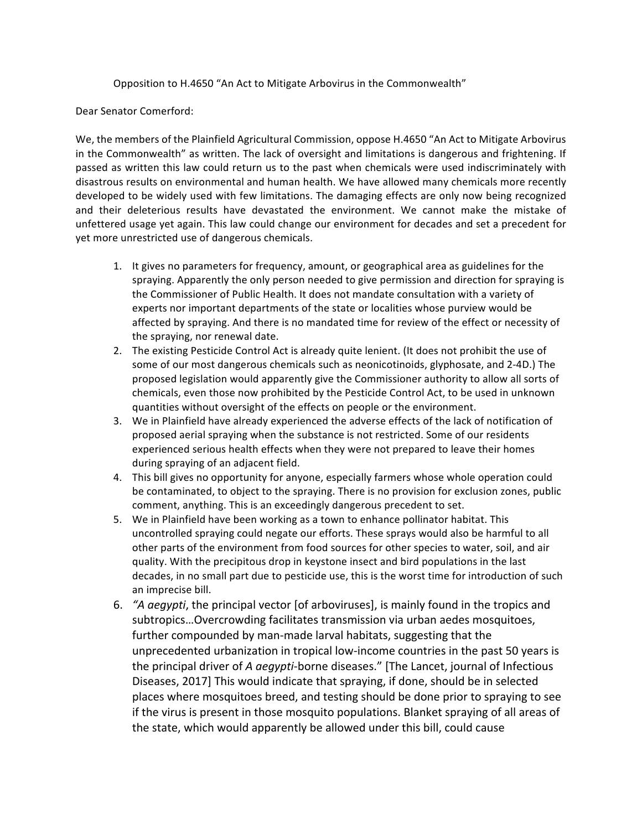Opposition to H.4650 "An Act to Mitigate Arbovirus in the Commonwealth"

Dear Senator Comerford:

We, the members of the Plainfield Agricultural Commission, oppose H.4650 "An Act to Mitigate Arbovirus in the Commonwealth" as written. The lack of oversight and limitations is dangerous and frightening. If passed as written this law could return us to the past when chemicals were used indiscriminately with disastrous results on environmental and human health. We have allowed many chemicals more recently developed to be widely used with few limitations. The damaging effects are only now being recognized and their deleterious results have devastated the environment. We cannot make the mistake of unfettered usage yet again. This law could change our environment for decades and set a precedent for yet more unrestricted use of dangerous chemicals.

- 1. It gives no parameters for frequency, amount, or geographical area as guidelines for the spraying. Apparently the only person needed to give permission and direction for spraying is the Commissioner of Public Health. It does not mandate consultation with a variety of experts nor important departments of the state or localities whose purview would be affected by spraying. And there is no mandated time for review of the effect or necessity of the spraying, nor renewal date.
- 2. The existing Pesticide Control Act is already quite lenient. (It does not prohibit the use of some of our most dangerous chemicals such as neonicotinoids, glyphosate, and 2-4D.) The proposed legislation would apparently give the Commissioner authority to allow all sorts of chemicals, even those now prohibited by the Pesticide Control Act, to be used in unknown quantities without oversight of the effects on people or the environment.
- 3. We in Plainfield have already experienced the adverse effects of the lack of notification of proposed aerial spraying when the substance is not restricted. Some of our residents experienced serious health effects when they were not prepared to leave their homes during spraying of an adjacent field.
- 4. This bill gives no opportunity for anyone, especially farmers whose whole operation could be contaminated, to object to the spraying. There is no provision for exclusion zones, public comment, anything. This is an exceedingly dangerous precedent to set.
- 5. We in Plainfield have been working as a town to enhance pollinator habitat. This uncontrolled spraying could negate our efforts. These sprays would also be harmful to all other parts of the environment from food sources for other species to water, soil, and air quality. With the precipitous drop in keystone insect and bird populations in the last decades, in no small part due to pesticide use, this is the worst time for introduction of such an imprecise bill.
- 6. "A aegypti, the principal vector [of arboviruses], is mainly found in the tropics and subtropics... Overcrowding facilitates transmission via urban aedes mosquitoes, further compounded by man-made larval habitats, suggesting that the unprecedented urbanization in tropical low-income countries in the past 50 years is the principal driver of *A aegypti*-borne diseases." [The Lancet, journal of Infectious Diseases, 2017] This would indicate that spraying, if done, should be in selected places where mosquitoes breed, and testing should be done prior to spraying to see if the virus is present in those mosquito populations. Blanket spraying of all areas of the state, which would apparently be allowed under this bill, could cause